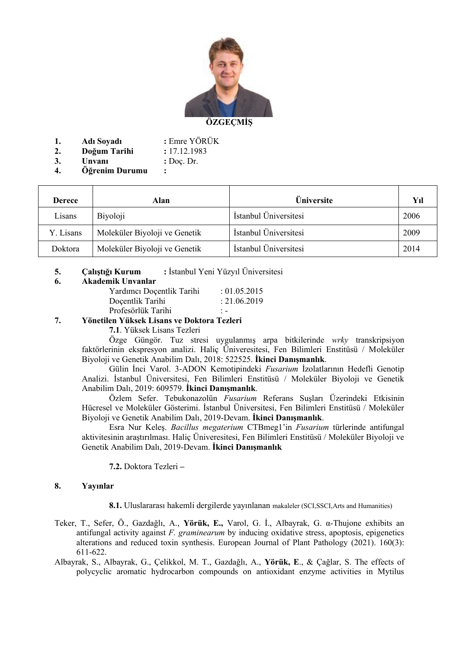

**1. Adı Soyadı :** Emre YÖRÜK

| 2. | Doğum Tarihi | : 17.12.1983 |
|----|--------------|--------------|
|----|--------------|--------------|

- **3. Unvanı :** Doç. Dr.
- **4. Öğrenim Durumu :**

|        | Derece    | Alan                          | <b>Üniversite</b>     | Yıl  |
|--------|-----------|-------------------------------|-----------------------|------|
| Lisans |           | Biyoloji                      | İstanbul Üniversitesi | 2006 |
|        | Y. Lisans | Moleküler Biyoloji ve Genetik | İstanbul Üniversitesi | 2009 |
|        | Doktora   | Moleküler Biyoloji ve Genetik | İstanbul Üniversitesi | 2014 |

## **5. Çalıştığı Kurum :** İstanbul Yeni Yüzyıl Üniversitesi

#### **6. Akademik Unvanlar**

| Yardımcı Doçentlik Tarihi | : 01.05.2015              |
|---------------------------|---------------------------|
| Doçentlik Tarihi          | : 21.06.2019              |
| Profesörlük Tarihi        | $\mathbf{1}$ $\mathbf{-}$ |

## **7. Yönetilen Yüksek Lisans ve Doktora Tezleri**

**7.1**. Yüksek Lisans Tezleri

Özge Güngör. Tuz stresi uygulanmış arpa bitkilerinde *wrky* transkripsiyon faktörlerinin ekspresyon analizi. Haliç Üniveresitesi, Fen Bilimleri Enstitüsü / Moleküler Biyoloji ve Genetik Anabilim Dalı, 2018: 522525. **İkinci Danışmanlık**.

Gülin İnci Varol. 3-ADON Kemotipindeki *Fusarium* İzolatlarının Hedefli Genotip Analizi. İstanbul Üniversitesi, Fen Bilimleri Enstitüsü / Moleküler Biyoloji ve Genetik Anabilim Dalı, 2019: 609579. **İkinci Danışmanlık**.

Özlem Sefer. Tebukonazolün *Fusarium* Referans Suşları Üzerindeki Etkisinin Hücresel ve Moleküler Gösterimi. İstanbul Üniversitesi, Fen Bilimleri Enstitüsü / Moleküler Biyoloji ve Genetik Anabilim Dalı, 2019-Devam. **İkinci Danışmanlık**.

Esra Nur Keleş. *Bacillus megaterium* CTBmeg1'in *Fusarium* türlerinde antifungal aktivitesinin araştırılması. Haliç Üniveresitesi, Fen Bilimleri Enstitüsü / Moleküler Biyoloji ve Genetik Anabilim Dalı, 2019-Devam. **İkinci Danışmanlık**

**7.2.** Doktora Tezleri **–**

## **8. Yayınlar**

**8.1.** Uluslararası hakemli dergilerde yayınlanan makaleler (SCI,SSCI,Arts and Humanities)

- Teker, T., Sefer, Ö., Gazdağlı, A., **Yörük, E.,** Varol, G. İ., Albayrak, G. α-Thujone exhibits an antifungal activity against *F. graminearum* by inducing oxidative stress, apoptosis, epigenetics alterations and reduced toxin synthesis. European Journal of Plant Pathology (2021). 160(3): 611-622.
- Albayrak, S., Albayrak, G., Çelikkol, M. T., Gazdağlı, A., **Yörük, E**., & Çağlar, S. The effects of polycyclic aromatic hydrocarbon compounds on antioxidant enzyme activities in Mytilus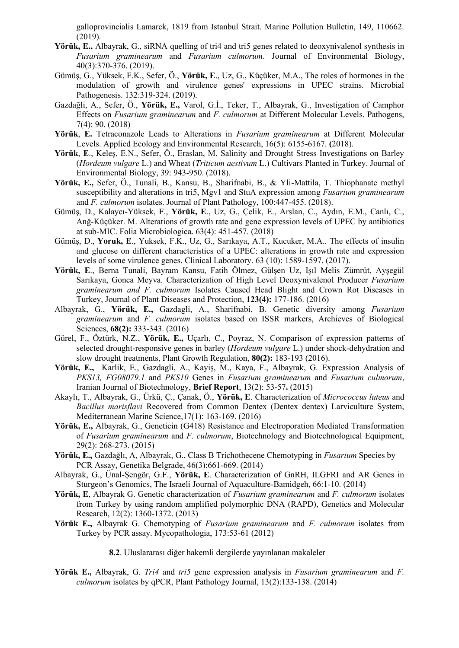galloprovincialis Lamarck, 1819 from Istanbul Strait. Marine Pollution Bulletin, 149, 110662. (2019).

- **Yörük, E.,** Albayrak, G., siRNA quelling of tri4 and tri5 genes related to deoxynivalenol synthesis in *Fusarium graminearum* and *Fusarium culmorum*. Journal of Environmental Biology, 40(3):370-376. (2019).
- Gümüş, G., Yüksek, F.K., Sefer, Ö., **Yörük, E**., Uz, G., Küçüker, M.A., The roles of hormones in the modulation of growth and virulence genes' expressions in UPEC strains. Microbial Pathogenesis. 132:319-324. (2019).
- Gazdağli, A., Sefer, Ö., **Yörük, E.,** Varol, G.İ., Teker, T., Albayrak, G., Investigation of Camphor Effects on *Fusarium graminearum* and *F. culmorum* at Different Molecular Levels. Pathogens, 7(4): 90. (2018)
- **Yörük**, **E.** Tetraconazole Leads to Alterations in *Fusarium graminearum* at Different Molecular Levels. Applied Ecology and Environmental Research, 16(5): 6155-6167. **(**2018).
- **Yörük**, **E**., Keleş, E.N., Sefer, Ö., Eraslan, M. Salinity and Drought Stress Investigations on Barley (*Hordeum vulgare* L.) and Wheat (*Triticum aestivum* L.) Cultivars Planted in Turkey. Journal of Environmental Biology, 39: 943-950. (2018).
- **Yörük, E.,** Sefer, Ö., Tunali, B., Kansu, B., Sharifnabi, B., & Yli-Mattila, T. Thiophanate methyl susceptibility and alterations in tri5, Mgv1 and StuA expression among *Fusarium graminearum* and *F. culmorum* isolates. Journal of Plant Pathology, 100:447-455. (2018).
- Gümüş, D., Kalaycı-Yüksek, F., **Yörük, E**., Uz, G., Çelik, E., Arslan, C., Aydın, E.M., Canlı, C., Anğ-Küçüker. M. Alterations of growth rate and gene expression levels of UPEC by antibiotics at sub-MIC. Folia Microbiologica. 63(4): 451-457. (2018)
- Gümüş, D., **Yoruk, E**., Yuksek, F.K., Uz, G., Sarıkaya, A.T., Kucuker, M.A.. The effects of insulin and glucose on different characteristics of a UPEC: alterations in growth rate and expression levels of some virulence genes. Clinical Laboratory. 63 (10): 1589-1597. (2017).
- **Yörük, E**., Berna Tunali, Bayram Kansu, Fatih Ölmez, Gülşen Uz, Işıl Melis Zümrüt, Ayşegül Sarıkaya, Gonca Meyva. Characterization of High Level Deoxynivalenol Producer *Fusarium graminearum and F. culmorum* Isolates Caused Head Blight and Crown Rot Diseases in Turkey, Journal of Plant Diseases and Protection, **123(4):** 177-186. (2016)
- Albayrak, G., **Yörük, E.,** Gazdagli, A., Sharifnabi, B. Genetic diversity among *Fusarium graminearum* and *F. culmorum* isolates based on ISSR markers, Archieves of Biological Sciences, **68(2):** 333-343. (2016)
- Gürel, F., Öztürk, N.Z., **Yörük, E.,** Uçarlı, C., Poyraz, N. Comparison of expression patterns of selected drought-responsive genes in barley (*Hordeum vulgare* L.) under shock-dehydration and slow drought treatments, Plant Growth Regulation, **80(2):** 183-193 (2016).
- **Yörük, E.,** Karlik, E., Gazdagli, A., Kayiş, M., Kaya, F., Albayrak, G. Expression Analysis of *PKS13, FG08079.1* and *PKS10* Genes in *Fusarium graminearum* and *Fusarium culmorum*, Iranian Journal of Biotechnology, **Brief Report**, 13(2): 53-57**.** (2015)
- Akaylı, T., Albayrak, G., Ürkü, Ç., Çanak, Ö., **Yörük, E**. Characterization of *Micrococcus luteus* and *Bacillus marisflavi* Recovered from Common Dentex (Dentex dentex) Larviculture System, Mediterranean Marine Science,17(1): 163-169. (2016)
- **Yörük, E.,** Albayrak, G., Geneticin (G418) Resistance and Electroporation Mediated Transformation of *Fusarium graminearum* and *F. culmorum*, Biotechnology and Biotechnological Equipment, 29(2): 268-273. (2015)
- **Yörük, E.,** Gazdağlı, A, Albayrak, G., Class B Trichothecene Chemotyping in *Fusarium* Species by PCR Assay, Genetika Belgrade, 46(3):661-669. (2014)
- Albayrak, G., Ünal-Şengör, G.F., **Yörük, E**. Characterization of GnRH, ILGFRI and AR Genes in Sturgeon's Genomics, The Israeli Journal of Aquaculture-Bamidgeh, 66:1-10. (2014)
- **Yörük, E**, Albayrak G. Genetic characterization of *Fusarium graminearum* and *F. culmorum* isolates from Turkey by using random amplified polymorphic DNA (RAPD), Genetics and Molecular Research, 12(2): 1360-1372. (2013)
- **Yörük E.,** Albayrak G. Chemotyping of *Fusarium graminearum* and *F. culmorum* isolates from Turkey by PCR assay. Mycopathologia, 173:53-61 (2012)
	- **8.2**. Uluslararası diğer hakemli dergilerde yayınlanan makaleler
- **Yörük E.,** Albayrak, G. *Tri4* and *tri5* gene expression analysis in *Fusarium graminearum* and *F. culmorum* isolates by qPCR, Plant Pathology Journal, 13(2):133-138. (2014)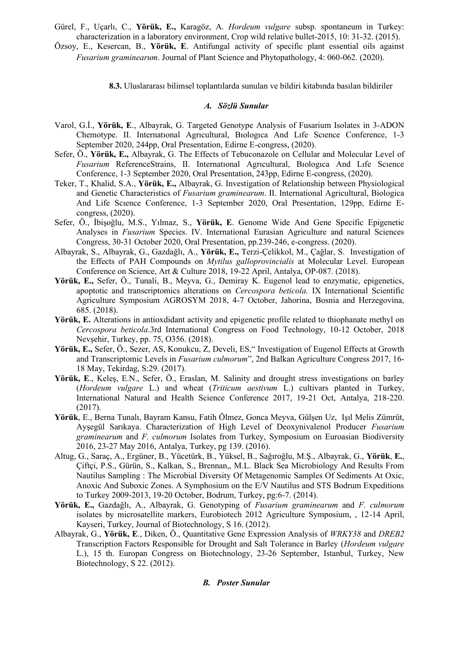Gürel, F., Uçarlı, C., **Yörük, E.,** Karagöz, A. *Hordeum vulgare* subsp. spontaneum in Turkey: characterization in a laboratory environment, Crop wild relative bullet-2015, 10: 31-32. (2015).

Özsoy, E., Kesercan, B., **Yörük, E**. Antifungal activity of specific plant essential oils against *Fusarium graminearum*. Journal of Plant Science and Phytopathology, 4: 060-062. (2020).

**8.3.** Uluslararası bilimsel toplantılarda sunulan ve bildiri kitabında basılan bildiriler

### *A. Sözlü Sunular*

- Varol, G.İ., **Yörük, E**., Albayrak, G. Targeted Genotype Analysis of Fusarium Isolates in 3-ADON Chemotype. II. Internatıonal Agrıcultural, Bıologıca And Lıfe Scıence Conference, 1-3 September 2020, 244pp, Oral Presentation, Edirne E-congress, (2020).
- Sefer, Ö., **Yörük, E.,** Albayrak, G. The Effects of Tebuconazole on Cellular and Molecular Level of *Fusarium* ReferenceStrains, II. Internatıonal Agrıcultural, Bıologıca And Lıfe Scıence Conference, 1-3 September 2020, Oral Presentation, 243pp, Edirne E-congress, (2020).
- Teker, T., Khalid, S.A., **Yörük, E.,** Albayrak, G. Investigation of Relationship between Physiological and Genetic Characteristics of *Fusarium graminearum*. II. International Agricultural, Biologica And Life Scıence Conference, 1-3 September 2020, Oral Presentation, 129pp, Edirne Econgress, (2020).
- Sefer, Ö., İbişoğlu, M.S., Yılmaz, S., **Yörük, E**. Genome Wide And Gene Specific Epigenetic Analyses in *Fusarium* Species. IV. International Eurasian Agriculture and natural Sciences Congress, 30-31 October 2020, Oral Presentation, pp.239-246, e-congress. (2020).
- Albayrak, S., Albayrak, G., Gazdağlı, A., **Yörük, E.,** Terzi-Çelikkol, M., Çağlar, S. Investigation of the Effects of PAH Compounds on *Mytilus galloprovincialis* at Molecular Level. European Conference on Science, Art & Culture 2018, 19-22 April, Antalya, OP-087. (2018).
- **Yörük, E.,** Sefer, Ö., Tunali, B., Meyva, G., Demiray K. Eugenol lead to enzymatic, epigenetics, apoptotic and transcriptomics alterations on *Cercospora beticola.* IX International Scientific Agriculture Symposium AGROSYM 2018, 4-7 October, Jahorina, Bosnia and Herzegovina, 685. (2018).
- **Yörük, E.** Alterations in antioxdidant activity and epigenetic profile related to thiophanate methyl on *Cercospora beticola*.3rd International Congress on Food Technology, 10-12 October, 2018 Nevşehir, Turkey, pp. 75, O356. (2018).
- **Yörük, E.,** Sefer, Ö., Sezer, AS, Konukcu, Z, Develi, ES," Investigation of Eugenol Effects at Growth and Transcriptomic Levels in *Fusarium culmorum*", 2nd Balkan Agriculture Congress 2017, 16- 18 May, Tekirdag, S:29. (2017).
- **Yörük, E**., Keleş, E.N., Sefer, Ö., Eraslan, M. Salinity and drought stress investigations on barley (*Hordeum vulgare* L.) and wheat (*Triticum aestivum* L.) cultivars planted in Turkey, International Natural and Health Science Conference 2017, 19-21 Oct, Antalya, 218-220. (2017).
- **Yörük**, E., Berna Tunalı, Bayram Kansu, Fatih Ölmez, Gonca Meyva, Gülşen Uz, Işıl Melis Zümrüt, Ayşegül Sarıkaya. Characterization of High Level of Deoxynivalenol Producer *Fusarium graminearum* and *F. culmorum* Isolates from Turkey, Symposium on Euroasian Biodiversity 2016, 23-27 May 2016, Antalya, Turkey, pg 139. (2016).
- Altug, G., Saraç, A., Ergüner, B., Yücetürk, B., Yüksel, B., Sağıroğlu, M.Ş., Albayrak, G., **Yörük**, **E.**, Çiftçi, P.S., Gürün, S., Kalkan, S., Brennan,, M.L. Black Sea Microbiology And Results From Nautilus Sampling : The Microbial Diversity Of Metagenomic Samples Of Sediments At Oxic, Anoxic And Suboxic Zones. A Symphosium on the E/V Nautilus and STS Bodrum Expeditions to Turkey 2009-2013, 19-20 October, Bodrum, Turkey, pg:6-7. (2014).
- **Yörük, E.,** Gazdağlı, A., Albayrak, G. Genotyping of *Fusarium graminearum* and *F. culmorum*  isolates by microsatellite markers, Eurobiotech 2012 Agriculture Symposium, , 12-14 April, Kayseri, Turkey, Journal of Biotechnology, S 16. (2012).
- Albayrak, G., **Yörük, E**., Diken, Ö., Quantitative Gene Expression Analysis of *WRKY38* and *DREB2* Transcription Factors Responsible for Drought and Salt Tolerance in Barley (*Hordeum vulgare*  L.), 15 th. Europan Congress on Biotechnology, 23-26 September, Istanbul, Turkey, New Biotechnology, S 22. (2012).

## *B. Poster Sunular*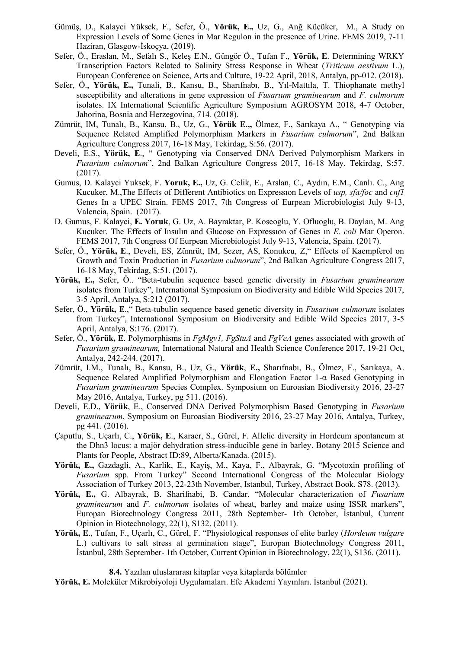- Gümüş, D., Kalayci Yüksek, F., Sefer, Ö., **Yörük, E.,** Uz, G., Anğ Küçüker, M., A Study on Expression Levels of Some Genes in Mar Regulon in the presence of Urine. FEMS 2019, 7-11 Haziran, Glasgow-İskoçya, (2019).
- Sefer, Ö., Eraslan, M., Sefalı S., Keleş E.N., Güngör Ö., Tufan F., **Yörük, E**. Determining WRKY Transcription Factors Related to Salinity Stress Response in Wheat (*Triticum aestivum* L.), European Conference on Science, Arts and Culture, 19-22 April, 2018, Antalya, pp-012. (2018).
- Sefer, Ö., **Yörük, E.,** Tunali, B., Kansu, B., Sharıfnabı, B., Yıl-Mattıla, T. Thiophanate methyl susceptibility and alterations in gene expression of *Fusarıum graminearum* and *F. culmorum* isolates. IX International Scientific Agriculture Symposium AGROSYM 2018, 4-7 October, Jahorina, Bosnia and Herzegovina, 714. (2018).
- Zümrüt, IM, Tunalı, B., Kansu, B., Uz, G., **Yörük E.,,** Ölmez, F., Sarıkaya A., " Genotyping via Sequence Related Amplified Polymorphism Markers in *Fusarium culmorum*", 2nd Balkan Agriculture Congress 2017, 16-18 May, Tekirdag, S:56. (2017).
- Develi, E.S., **Yörük, E**., " Genotyping via Conserved DNA Derived Polymorphism Markers in *Fusarium culmorum*", 2nd Balkan Agriculture Congress 2017, 16-18 May, Tekirdag, S:57. (2017).
- Gumus, D. Kalayci Yuksek, F. **Yoruk, E.,** Uz, G. Celik, E., Arslan, C., Aydın, E.M., Canlı. C., Ang Kucuker, M.,The Effects of Different Antibiotics on Expressıon Levels of *usp, sfa/foc* and *cnf1* Genes In a UPEC Strain. FEMS 2017, 7th Congress of Eurpean Microbiologist July 9-13, Valencia, Spain. (2017).
- D. Gumus, F. Kalayci, **E. Yoruk**, G. Uz, A. Bayraktar, P. Koseoglu, Y. Ofluoglu, B. Daylan, M. Ang Kucuker. The Effects of Insulın and Glucose on Expressıon of Genes ın *E. coli* Mar Operon. FEMS 2017, 7th Congress Of Eurpean Microbiologist July 9-13, Valencia, Spain. (2017).
- Sefer, Ö., **Yörük, E**., Develi, ES, Zümrüt, IM, Sezer, AS, Konukcu, Z," Effects of Kaempferol on Growth and Toxin Production in *Fusarium culmorum*", 2nd Balkan Agriculture Congress 2017, 16-18 May, Tekirdag, S:51. (2017).
- **Yörük, E.,** Sefer, Ö.. "Beta-tubulin sequence based genetic diversity in *Fusarium graminearum* isolates from Turkey", International Symposium on Biodiversity and Edible Wild Species 2017, 3-5 April, Antalya, S:212 (2017).
- Sefer, Ö., **Yörük, E**.," Beta-tubulin sequence based genetic diversity in *Fusarium culmorum* isolates from Turkey", International Symposium on Biodiversity and Edible Wild Species 2017, 3-5 April, Antalya, S:176. (2017).
- Sefer, Ö., **Yörük, E**. Polymorphisms in *FgMgv1, FgStuA* and *FgVeA* genes associated with growth of *Fusarium graminearum,* International Natural and Health Science Conference 2017, 19-21 Oct, Antalya, 242-244. (2017).
- Zümrüt, I.M., Tunalı, B., Kansu, B., Uz, G., **Yörük**, **E.,** Sharıfnabı, B., Ölmez, F., Sarıkaya, A. Sequence Related Amplified Polymorphism and Elongation Factor 1-α Based Genotyping in *Fusarium graminearum* Species Complex. Symposium on Euroasian Biodiversity 2016, 23-27 May 2016, Antalya, Turkey, pg 511. (2016).
- Develi, E.D., **Yörük**, E., Conserved DNA Derived Polymorphism Based Genotyping in *Fusarium graminearum*, Symposium on Euroasian Biodiversity 2016, 23-27 May 2016, Antalya, Turkey, pg 441. (2016).
- Çaputlu, S., Uçarlı, C., **Yörük, E**., Karaer, S., Gürel, F. Allelic diversity in Hordeum spontaneum at the Dhn3 locus: a majör dehydration stress-inducible gene in barley. Botany 2015 Science and Plants for People, Abstract ID:89, Alberta/Kanada. (2015).
- **Yörük, E.,** Gazdagli, A., Karlik, E., Kayiş, M., Kaya, F., Albayrak, G. "Mycotoxin profiling of *Fusarium* spp. From Turkey" Second International Congress of the Molecular Biology Association of Turkey 2013, 22-23th November, Istanbul, Turkey, Abstract Book, S78. (2013).
- **Yörük, E.,** G. Albayrak, B. Sharifnabi, B. Candar. "Molecular characterization of *Fusarium graminearum* and *F. culmorum* isolates of wheat, barley and maize using ISSR markers", Europan Biotechnology Congress 2011, 28th September- 1th October, İstanbul, Current Opinion in Biotechnology, 22(1), S132. (2011).
- **Yörük, E**., Tufan, F., Uçarlı, C., Gürel, F. "Physiological responses of elite barley (*Hordeum vulgare* L.) cultivars to salt stress at germination stage", Europan Biotechnology Congress 2011, İstanbul, 28th September- 1th October, Current Opinion in Biotechnology, 22(1), S136. (2011).

**8.4.** Yazılan uluslararası kitaplar veya kitaplarda bölümler

**Yörük, E.** Moleküler Mikrobiyoloji Uygulamaları. Efe Akademi Yayınları. İstanbul (2021).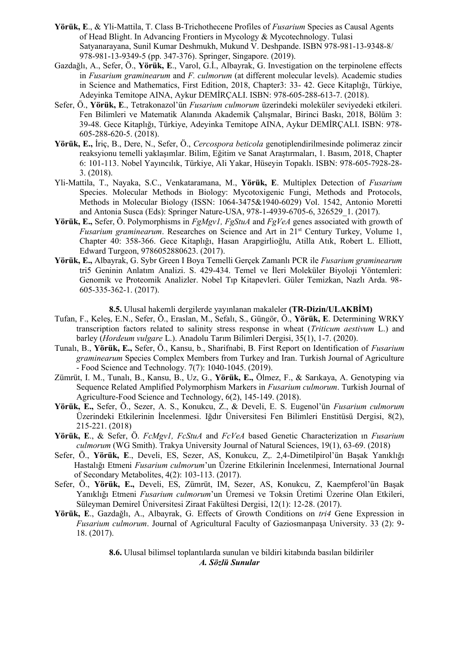- **Yörük, E**., & Yli-Mattila, T. Class B-Trichothecene Profiles of *Fusarium* Species as Causal Agents of Head Blight. In Advancing Frontiers in Mycology & Mycotechnology. Tulasi Satyanarayana, Sunil Kumar Deshmukh, Mukund V. Deshpande. ISBN 978-981-13-9348-8/ 978-981-13-9349-5 (pp. 347-376). Springer, Singapore. (2019).
- Gazdağlı, A., Sefer, Ö., **Yörük, E**., Varol, G.İ., Albayrak, G. Investigation on the terpinolene effects in *Fusarium graminearum* and *F. culmorum* (at different molecular levels). Academic studies in Science and Mathematics, First Edition, 2018, Chapter3: 33- 42. Gece Kitaplığı, Türkiye, Adeyinka Temitope AINA, Aykur DEMİRÇALI. ISBN: 978-605-288-613-7. (2018).
- Sefer, Ö., **Yörük, E**., Tetrakonazol'ün *Fusarium culmorum* üzerindeki moleküler seviyedeki etkileri. Fen Bilimleri ve Matematik Alanında Akademik Çalışmalar, Birinci Baskı, 2018, Bölüm 3: 39-48. Gece Kitaplığı, Türkiye, Adeyinka Temitope AINA, Aykur DEMİRÇALI. ISBN: 978- 605-288-620-5. (2018).
- **Yörük, E.,** İriç, B., Dere, N., Sefer, Ö., *Cercospora beticola* genotiplendirilmesinde polimeraz zincir reaksyionu temelli yaklaşımlar. Bilim, Eğitim ve Sanat Araştırmaları, 1. Basım, 2018, Chapter 6: 101-113. Nobel Yayıncılık, Türkiye, Ali Yakar, Hüseyin Topaklı. ISBN: 978-605-7928-28- 3. (2018).
- Yli-Mattila, T., Nayaka, S.C., Venkataramana, M., **Yörük, E**. Multiplex Detection of *Fusarium* Species. Molecular Methods in Biology: Mycotoxigenic Fungi, Methods and Protocols, Methods in Molecular Biology (ISSN: 1064-3475&1940-6029) Vol. 1542, Antonio Moretti and Antonia Susca (Eds): Springer Nature-USA, 978-1-4939-6705-6, 326529\_1. (2017).
- **Yörük, E.,** Sefer, Ö. Polymorphisms in *FgMgv1, FgStuA* and *FgVeA* genes associated with growth of *Fusarium graminearum.* Researches on Science and Art in 21<sup>st</sup> Century Turkey, Volume 1, Chapter 40: 358-366. Gece Kitaplığı, Hasan Arapgirlioğlu, Atilla Atık, Robert L. Elliott, Edward Turgeon, 9786052880623. (2017).
- **Yörük, E.,** Albayrak, G. Sybr Green I Boya Temelli Gerçek Zamanlı PCR ile *Fusarium graminearum* tri5 Geninin Anlatım Analizi. S. 429-434. Temel ve İleri Moleküler Biyoloji Yöntemleri: Genomik ve Proteomik Analizler. Nobel Tıp Kitapevleri. Güler Temizkan, Nazlı Arda. 98- 605-335-362-1. (2017).

**8.5.** Ulusal hakemli dergilerde yayınlanan makaleler **(TR-Dizin/ULAKBİM)**

- Tufan, F., Keleş, E.N., Sefer, Ö., Eraslan, M., Sefalı, S., Güngör, Ö., **Yörük, E**. Determining WRKY transcription factors related to salinity stress response in wheat (*Triticum aestivum* L.) and barley (*Hordeum vulgare* L.). Anadolu Tarım Bilimleri Dergisi, 35(1), 1-7. (2020).
- Tunalı, B., **Yörük, E.,** Sefer, Ö., Kansu, b., Sharifnabi, B. First Report on Identification of *Fusarium graminearum* Species Complex Members from Turkey and Iran. Turkish Journal of Agriculture - Food Science and Technology. 7(7): 1040-1045. (2019).
- Zümrüt, I. M., Tunalı, B., Kansu, B., Uz, G., **Yörük, E.,** Ölmez, F., & Sarıkaya, A. Genotyping via Sequence Related Amplified Polymorphism Markers in *Fusarium culmorum*. Turkish Journal of Agriculture-Food Science and Technology, 6(2), 145-149. (2018).
- **Yörük, E.,** Sefer, Ö., Sezer, A. S., Konukcu, Z., & Develi, E. S. Eugenol'ün *Fusarium culmorum* Üzerindeki Etkilerinin İncelenmesi. Iğdır Üniversitesi Fen Bilimleri Enstitüsü Dergisi, 8(2), 215-221. (2018)
- **Yörük, E**., & Sefer, Ö. *FcMgv1, FcStuA* and *FcVeA* based Genetic Characterization ın *Fusarium culmorum* (WG Smith). Trakya University Journal of Natural Sciences, 19(1), 63-69. (2018)
- Sefer, Ö., **Yörük, E**., Develi, ES, Sezer, AS, Konukcu, Z,. 2,4-Dimetilpirol'ün Başak Yanıklığı Hastalığı Etmeni *Fusarium culmorum*'un Üzerine Etkilerinin İncelenmesi, International Journal of Secondary Metabolites, 4(2): 103-113. (2017).
- Sefer, Ö., **Yörük, E.,** Develi, ES, Zümrüt, IM, Sezer, AS, Konukcu, Z, Kaempferol'ün Başak Yanıklığı Etmeni *Fusarium culmorum*'un Üremesi ve Toksin Üretimi Üzerine Olan Etkileri, Süleyman Demirel Üniversitesi Ziraat Fakültesi Dergisi, 12(1): 12-28. (2017).
- **Yörük, E**., Gazdağlı, A., Albayrak, G. Effects of Growth Conditions on *tri4* Gene Expression in *Fusarium culmorum*. Journal of Agricultural Faculty of Gaziosmanpaşa University. 33 (2): 9- 18. (2017).

**8.6.** Ulusal bilimsel toplantılarda sunulan ve bildiri kitabında basılan bildiriler *A. Sözlü Sunular*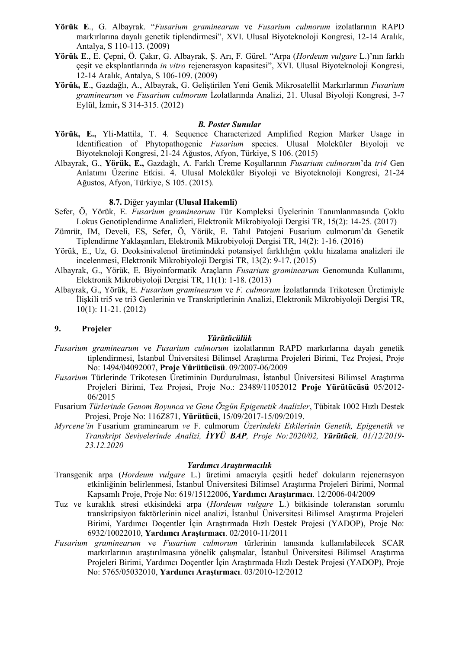- **Yörük E**., G. Albayrak. "*Fusarium graminearum* ve *Fusarium culmorum* izolatlarının RAPD markırlarına dayalı genetik tiplendirmesi", XVI. Ulusal Biyoteknoloji Kongresi, 12-14 Aralık, Antalya, S 110-113. (2009)
- **Yörük E**., E. Çepni, Ö. Çakır, G. Albayrak, Ş. Arı, F. Gürel. "Arpa (*Hordeum vulgare* L.)'nın farklı çeşit ve eksplantlarında *in vitro* rejenerasyon kapasitesi", XVI. Ulusal Biyoteknoloji Kongresi, 12-14 Aralık, Antalya, S 106-109. (2009)
- **Yörük, E**., Gazdağlı, A., Albayrak, G. Geliştirilen Yeni Genik Mikrosatellit Markırlarının *Fusarium graminearum* ve *Fusarium culmorum* İzolatlarında Analizi, 21. Ulusal Biyoloji Kongresi, 3-7 Eylül, İzmir**,** S 314-315. (2012)

## *B. Poster Sunular*

- **Yörük, E.,** Yli-Mattila, T. 4. Sequence Characterized Amplified Region Marker Usage in Identification of Phytopathogenic *Fusarium* species. Ulusal Moleküler Biyoloji ve Biyoteknoloji Kongresi, 21-24 Ağustos, Afyon, Türkiye, S 106. (2015)
- Albayrak, G., **Yörük, E.,** Gazdağlı, A. Farklı Üreme Koşullarının *Fusarium culmorum*'da *tri4* Gen Anlatımı Üzerine Etkisi. 4. Ulusal Moleküler Biyoloji ve Biyoteknoloji Kongresi, 21-24 Ağustos, Afyon, Türkiye, S 105. (2015).

### **8.7.** Diğer yayınlar **(Ulusal Hakemli)**

- Sefer, Ö, Yörük, E. *Fusarium graminearum* Tür Kompleksi Üyelerinin Tanımlanmasında Çoklu Lokus Genotiplendirme Analizleri, Elektronik Mikrobiyoloji Dergisi TR, 15(2): 14-25. (2017)
- Zümrüt, IM, Develi, ES, Sefer, Ö, Yörük, E. Tahıl Patojeni Fusarium culmorum'da Genetik Tiplendirme Yaklaşımları, Elektronik Mikrobiyoloji Dergisi TR, 14(2): 1-16. (2016)
- Yörük, E., Uz, G. Deoksinivalenol üretimindeki potansiyel farklılığın çoklu hizalama analizleri ile incelenmesi, Elektronik Mikrobiyoloji Dergisi TR, 13(2): 9-17. (2015)
- Albayrak, G., Yörük, E. Biyoinformatik Araçların *Fusarium graminearum* Genomunda Kullanımı, Elektronik Mikrobiyoloji Dergisi TR, 11(1): 1-18. (2013)
- Albayrak, G., Yörük, E. *Fusarium graminearum* ve *F. culmorum* İzolatlarında Trikotesen Üretimiyle İlişkili tri5 ve tri3 Genlerinin ve Transkriptlerinin Analizi, Elektronik Mikrobiyoloji Dergisi TR, 10(1): 11-21. (2012)

#### **9. Projeler**

#### *Yürütücülük*

- *Fusarium graminearum* ve *Fusarium culmorum* izolatlarının RAPD markırlarına dayalı genetik tiplendirmesi, İstanbul Üniversitesi Bilimsel Araştırma Projeleri Birimi, Tez Projesi, Proje No: 1494/04092007, **Proje Yürütücüsü**. 09/2007-06/2009
- *Fusarium* Türlerinde Trikotesen Üretiminin Durdurulması, İstanbul Üniversitesi Bilimsel Araştırma Projeleri Birimi, Tez Projesi, Proje No.: 23489/11052012 **Proje Yürütücüsü** 05/2012- 06/2015
- Fusarium *Türlerinde Genom Boyunca ve Gene Özgün Epigenetik Analizler*, Tübitak 1002 Hızlı Destek Projesi, Proje No: 116Z871, **Yürütücü**, 15/09/2017-15/09/2019.
- *Myrcene'in* Fusarium graminearum *ve* F. culmorum *Üzerindeki Etkilerinin Genetik, Epigenetik ve Transkript Seviyelerinde Analizi, İYYÜ BAP, Proje No:2020/02, Yürütücü, 01/12/2019- 23.12.2020*

### *Yardımcı Araştırmacılık*

- Transgenik arpa (*Hordeum vulgare* L.) üretimi amacıyla çeşitli hedef dokuların rejenerasyon etkinliğinin belirlenmesi, İstanbul Üniversitesi Bilimsel Araştırma Projeleri Birimi, Normal Kapsamlı Proje, Proje No: 619/15122006, **Yardımcı Araştırmacı**. 12/2006-04/2009
- Tuz ve kuraklık stresi etkisindeki arpa (*Hordeum vulgare* L.) bitkisinde toleranstan sorumlu transkripsiyon faktörlerinin nicel analizi, İstanbul Üniversitesi Bilimsel Araştırma Projeleri Birimi, Yardımcı Doçentler İçin Araştırmada Hızlı Destek Projesi (YADOP), Proje No: 6932/10022010, **Yardımcı Araştırmacı**. 02/2010-11/2011
- *Fusarium graminearum* ve *Fusarium culmorum* türlerinin tanısında kullanılabilecek SCAR markırlarının araştırılmasına yönelik çalışmalar, İstanbul Üniversitesi Bilimsel Araştırma Projeleri Birimi, Yardımcı Doçentler İçin Araştırmada Hızlı Destek Projesi (YADOP), Proje No: 5765/05032010, **Yardımcı Araştırmacı**. 03/2010-12/2012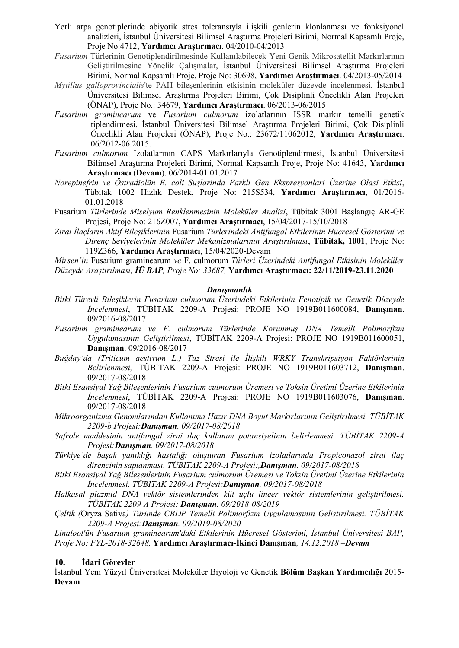Yerli arpa genotiplerinde abiyotik stres toleransıyla ilişkili genlerin klonlanması ve fonksiyonel analizleri, İstanbul Üniversitesi Bilimsel Araştırma Projeleri Birimi, Normal Kapsamlı Proje, Proje No:4712, **Yardımcı Araştırmacı**. 04/2010-04/2013

*Fusarium* Türlerinin Genotiplendirilmesinde Kullanılabilecek Yeni Genik Mikrosatellit Markırlarının Geliştirilmesine Yönelik Çalışmalar, İstanbul Üniversitesi Bilimsel Araştırma Projeleri Birimi, Normal Kapsamlı Proje, Proje No: 30698, **Yardımcı Araştırmacı**. 04/2013-05/2014

- *Mytillus galloprovincialis*'te PAH bileşenlerinin etkisinin moleküler düzeyde incelenmesi, İstanbul Üniversitesi Bilimsel Araştırma Projeleri Birimi, Çok Disiplinli Öncelikli Alan Projeleri (ÖNAP), Proje No.: 34679, **Yardımcı Araştırmacı**. 06/2013-06/2015
- *Fusarium graminearum* ve *Fusarium culmorum* izolatlarının ISSR markır temelli genetik tiplendirmesi, İstanbul Üniversitesi Bilimsel Araştırma Projeleri Birimi, Çok Disiplinli Öncelikli Alan Projeleri (ÖNAP), Proje No.: 23672/11062012, **Yardımcı Araştırmacı**. 06/2012-06.2015.
- *Fusarium culmorum* İzolatlarının CAPS Markırlarıyla Genotiplendirmesi, İstanbul Üniversitesi Bilimsel Araştırma Projeleri Birimi, Normal Kapsamlı Proje, Proje No: 41643, **Yardımcı Araştırmacı** (**Devam**). 06/2014-01.01.2017
- *Norepinefrin ve Östradiolün E. coli Suşlarinda Farkli Gen Ekspresyonlari Üzerine Olasi Etkisi*, Tübitak 1002 Hızlık Destek, Proje No: 215S534, **Yardımcı Araştırmacı**, 01/2016- 01.01.2018
- Fusarium *Türlerinde Miselyum Renklenmesinin Moleküler Analizi*, Tübitak 3001 Başlangıç AR-GE Projesi, Proje No: 216Z007, **Yardımcı Araştırmacı**, 15/04/2017-15/10/2018
- *Zirai İlaçların Aktif Bileşiklerinin* Fusarium *Türlerindeki Antifungal Etkilerinin Hücresel Gösterimi ve Direnç Seviyelerinin Moleküler Mekanizmalarının Araştırılması*, **Tübitak, 1001**, Proje No: 119Z366, **Yardımcı Araştırmacı**, 15/04/2020-Devam

*Mirsen'in* Fusarium graminearum *ve* F. culmorum *Türleri Üzerindeki Antifungal Etkisinin Moleküler Düzeyde Araştırılması, İÜ BAP, Proje No: 33687,* **Yardımcı Araştırmacı: 22/11/2019-23.11.2020**

## *Danışmanlık*

- *Bitki Türevli Bileşiklerin Fusarium culmorum Üzerindeki Etkilerinin Fenotipik ve Genetik Düzeyde İncelenmesi*, TÜBİTAK 2209-A Projesi: PROJE NO 1919B011600084, **Danışman**. 09/2016-08/2017
- *Fusarium graminearum ve F. culmorum Türlerinde Korunmuş DNA Temelli Polimorfizm Uygulamasının Geliştirilmesi*, TÜBİTAK 2209-A Projesi: PROJE NO 1919B011600051, **Danışman**. 09/2016-08/2017
- *Buğday'da (Triticum aestivum L.) Tuz Stresi ile İlişkili WRKY Transkripsiyon Faktörlerinin Belirlenmesi,* TÜBİTAK 2209-A Projesi: PROJE NO 1919B011603712, **Danışman**. 09/2017-08/2018
- *Bitki Esansiyal Yağ Bileşenlerinin Fusarium culmorum Üremesi ve Toksin Üretimi Üzerine Etkilerinin İncelenmesi*, TÜBİTAK 2209-A Projesi: PROJE NO 1919B011603076, **Danışman**. 09/2017-08/2018
- *Mikroorganizma Genomlarından Kullanıma Hazır DNA Boyut Markırlarının Geliştirilmesi. TÜBİTAK 2209-b Projesi:Danışman. 09/2017-08/2018*
- *Safrole maddesinin antifungal zirai ilaç kullanım potansiyelinin belirlenmesi. TÜBİTAK 2209-A Projesi:Danışman. 09/2017-08/2018*
- *Türkiye'de başak yanıklığı hastalığı oluşturan Fusarium izolatlarında Propiconazol zirai ilaç direncinin saptanması. TÜBİTAK 2209-A Projesi:,Danışman. 09/2017-08/2018*
- *Bitki Esansiyal Yağ Bileşenlerinin Fusarium culmorum Üremesi ve Toksin Üretimi Üzerine Etkilerinin İncelenmesi. TÜBİTAK 2209-A Projesi:Danışman. 09/2017-08/2018*
- *Halkasal plazmid DNA vektör sistemlerinden küt uçlu lineer vektör sistemlerinin geliştirilmesi. TÜBİTAK 2209-A Projesi: Danışman. 09/2018-08/2019*
- *Çeltik (*Oryza Sativa*) Türünde CBDP Temelli Polimorfizm Uygulamasının Geliştirilmesi. TÜBİTAK 2209-A Projesi:Danışman. 09/2019-08/2020*

*Linalool'ün Fusarium graminearum'daki Etkilerinin Hücresel Gösterimi, İstanbul Üniversitesi BAP, Proje No: FYL-2018-32648,* **Yardımcı Araştırmacı-İkinci Danışman***, 14.12.2018 –Devam*

## **10. İdari Görevler**

İstanbul Yeni Yüzyıl Üniversitesi Moleküler Biyoloji ve Genetik **Bölüm Başkan Yardımcılığı** 2015- **Devam**